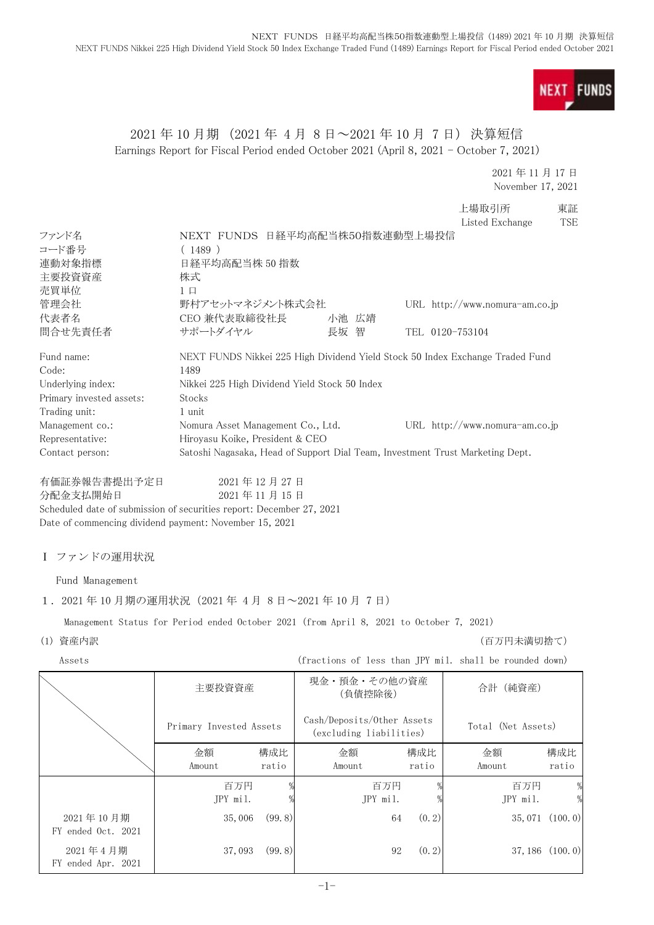

## 2021 年 10 月期 (2021 年 4 月 8 日~2021 年 10 月 7 日) 決算短信 Earnings Report for Fiscal Period ended October 2021 (April 8, 2021 - October 7, 2021)

#### 2021 年 11 月 17 日 November 17, 2021

|                                                        |                                                                               |       |  | 上場取引所<br>Listed Exchange         | 東証<br><b>TSF</b> |
|--------------------------------------------------------|-------------------------------------------------------------------------------|-------|--|----------------------------------|------------------|
| ファンド名                                                  | NEXT FUNDS 日経平均高配当株50指数連動型上場投信                                                |       |  |                                  |                  |
| コード番号                                                  | (1489)                                                                        |       |  |                                  |                  |
| 連動対象指標                                                 | 日経平均高配当株 50 指数                                                                |       |  |                                  |                  |
| 主要投資資産                                                 | 株式                                                                            |       |  |                                  |                  |
| 売買単位                                                   | $1\Box$                                                                       |       |  |                                  |                  |
| 管理会社                                                   | 野村アセットマネジメント株式会社                                                              |       |  | URL $http://www.nomura-am.co.jp$ |                  |
| 代表者名                                                   | CEO 兼代表取締役社長                                                                  | 小池 広靖 |  |                                  |                  |
| 問合せ先責任者                                                | サポートダイヤル                                                                      | 長坂 智  |  | TEL 0120-753104                  |                  |
| Fund name:                                             | NEXT FUNDS Nikkei 225 High Dividend Yield Stock 50 Index Exchange Traded Fund |       |  |                                  |                  |
| Code:                                                  | 1489                                                                          |       |  |                                  |                  |
| Underlying index:                                      | Nikkei 225 High Dividend Yield Stock 50 Index                                 |       |  |                                  |                  |
| Primary invested assets:                               | Stocks                                                                        |       |  |                                  |                  |
| Trading unit:                                          | 1 unit                                                                        |       |  |                                  |                  |
| Management co.:                                        | Nomura Asset Management Co., Ltd.                                             |       |  | URL $http://www.nomura-am.co.jp$ |                  |
| Representative:                                        | Hiroyasu Koike, President & CEO                                               |       |  |                                  |                  |
| Contact person:                                        | Satoshi Nagasaka, Head of Support Dial Team, Investment Trust Marketing Dept. |       |  |                                  |                  |
| 有価証券報告書提出予定日                                           | 2021年12月27日                                                                   |       |  |                                  |                  |
| 分配金支払開始日                                               | 2021年11月15日                                                                   |       |  |                                  |                  |
|                                                        | Scheduled date of submission of securities report: December 27, 2021          |       |  |                                  |                  |
| Date of commencing dividend payment: November 15, 2021 |                                                                               |       |  |                                  |                  |
|                                                        |                                                                               |       |  |                                  |                  |
|                                                        |                                                                               |       |  |                                  |                  |

## Ⅰ ファンドの運用状況

Fund Management

## 1.2021 年 10 月期の運用状況(2021 年 4 月 8 日~2021 年 10 月 7 日)

Management Status for Period ended October 2021 (from April 8, 2021 to October 7, 2021)

(1) 資産内訳 (百万円未満切捨て)

Assets (fractions of less than JPY mil. shall be rounded down)

|                                 | 主要投資資産                  |              |                                                       | 現金・預金・その他の資産<br>合計 (純資産)<br>(負債控除後) |                    |                     |
|---------------------------------|-------------------------|--------------|-------------------------------------------------------|-------------------------------------|--------------------|---------------------|
|                                 | Primary Invested Assets |              | Cash/Deposits/Other Assets<br>(excluding liabilities) |                                     | Total (Net Assets) |                     |
|                                 | 金額<br>Amount            | 構成比<br>ratio | 金額<br>Amount                                          | 構成比<br>ratio                        | 金額<br>Amount       | 構成比<br>ratio        |
|                                 | 百万円<br>JPY mil.         |              | 百万円<br>JPY mil.                                       |                                     | 百万円<br>JPY mil.    | %                   |
| 2021年10月期<br>FY ended Oct. 2021 | 35,006                  | (99, 8)      |                                                       | (0, 2)<br>64                        |                    | $35,071$ $(100, 0)$ |
| 2021年4月期<br>FY ended Apr. 2021  | 37,093                  | (99.8)       |                                                       | (0, 2)<br>92                        |                    | $37, 186$ $(100.0)$ |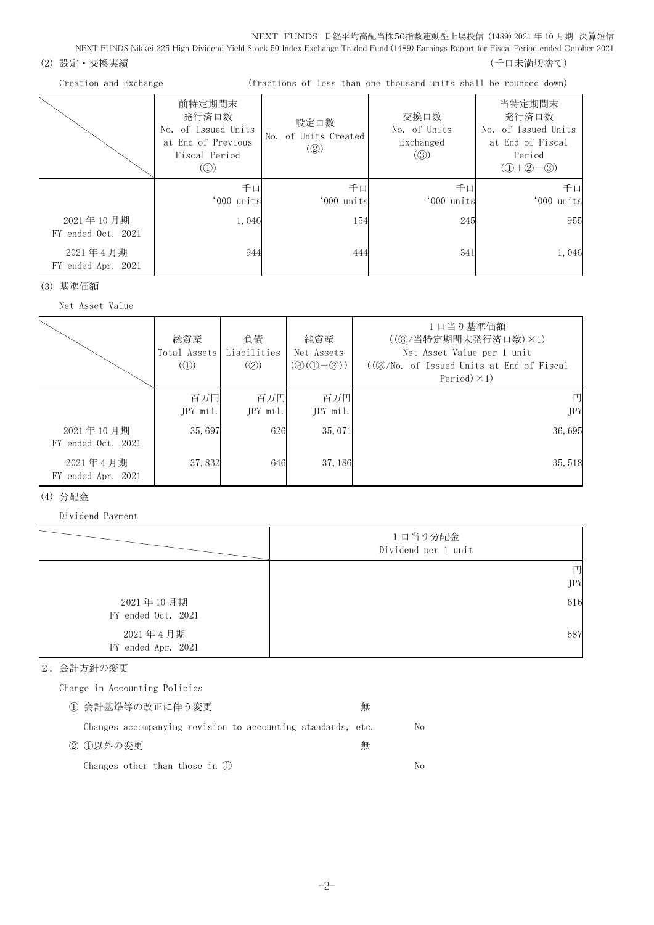NEXT FUNDS Nikkei 225 High Dividend Yield Stock 50 Index Exchange Traded Fund (1489) Earnings Report for Fiscal Period ended October 2021

(2) 設定・交換実績 (2) またのは、これまでは、これまでは、これまでは、これまでは、これまでは、これまでは、これまでは、これまでは、これまでは、これまでは、

|                                 | 前特定期間末<br>発行済口数<br>No. of Issued Units<br>at End of Previous<br>Fiscal Period<br>$\mathcal{L}(\mathbb{D})$ | 設定口数<br>No. of Units Created<br>$\left( \circled{2} \right)$ | 交換口数<br>No. of Units<br>Exchanged<br>$\left( \circledS\right)$ | 当特定期間末<br>発行済口数<br>No. of Issued Units<br>at End of Fiscal<br>Period<br>$(① + ② - ③)$ |
|---------------------------------|------------------------------------------------------------------------------------------------------------|--------------------------------------------------------------|----------------------------------------------------------------|---------------------------------------------------------------------------------------|
|                                 | 千口<br>'000 units                                                                                           | 千口<br>'000 units                                             | 千口<br>'000 units                                               | 千口<br>'000 units                                                                      |
| 2021年10月期<br>FY ended Oct. 2021 | 1,046                                                                                                      | 154                                                          | 245                                                            | 955                                                                                   |
| 2021年4月期<br>FY ended Apr. 2021  | 944                                                                                                        | 444                                                          | 341                                                            | 1,046                                                                                 |

(3) 基準価額

Net Asset Value

|                                 | 総資産<br>Total Assets Liabilities<br>$\mathcal{L}(\mathbb{D})$ | 負債<br>(Q)       | 純資産<br>Net Assets<br>$(③(①-②))$ | 1口当り基準価額<br>((3) / 当特定期間末発行済口数) ×1)<br>Net Asset Value per 1 unit<br>$((\textcircled{3}/\text{No. of } I$ ssued Units at End of Fiscal<br>Period $)\times$ 1) |
|---------------------------------|--------------------------------------------------------------|-----------------|---------------------------------|---------------------------------------------------------------------------------------------------------------------------------------------------------------|
|                                 | 百万円<br>JPY mil.                                              | 百万円<br>JPY mil. | 百万円<br>JPY mil.                 | 円<br><b>JPY</b>                                                                                                                                               |
| 2021年10月期<br>FY ended Oct. 2021 | 35,697                                                       | 626             | 35,071                          | 36,695                                                                                                                                                        |
| 2021年4月期<br>FY ended Apr. 2021  | 37,832                                                       | 646             | 37, 186                         | 35, 518                                                                                                                                                       |

#### (4) 分配金

Dividend Payment

|                                 | 1口当り分配金<br>Dividend per 1 unit |
|---------------------------------|--------------------------------|
|                                 | 円                              |
|                                 | <b>JPY</b>                     |
| 2021年10月期<br>FY ended Oct. 2021 | 616                            |
| 2021年4月期<br>FY ended Apr. 2021  | 587                            |

### 2.会計方針の変更

Change in Accounting Policies

| ① 会計基準等の改正に伴う変更                                             | 無 |    |
|-------------------------------------------------------------|---|----|
| Changes accompanying revision to accounting standards, etc. |   | No |
| ② ①以外の変更                                                    | 無 |    |
| Changes other than those in (1)                             |   | Nο |

Creation and Exchange (fractions of less than one thousand units shall be rounded down)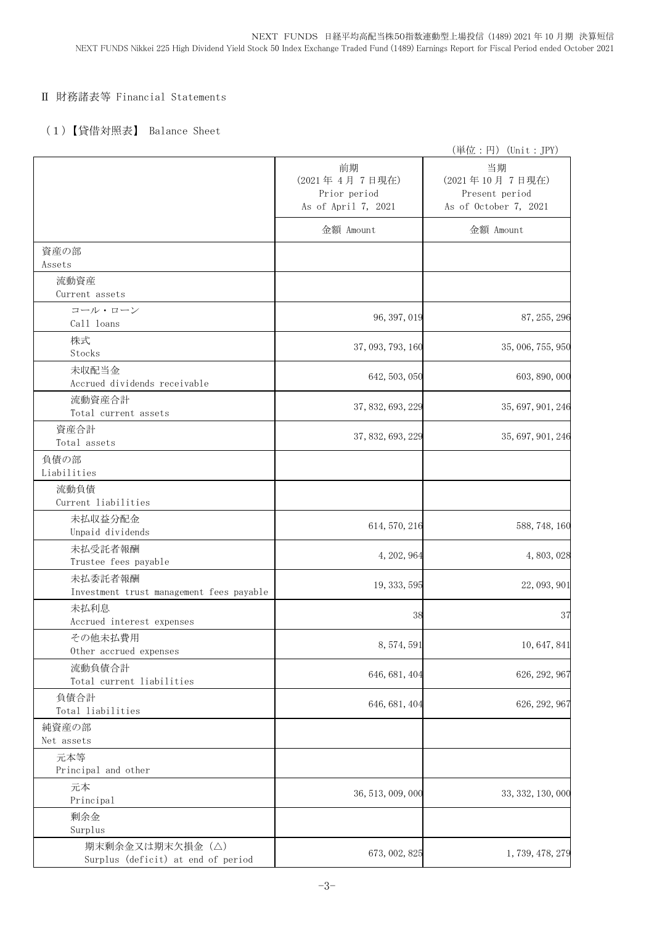## Ⅱ 財務諸表等 Financial Statements

## (1)【貸借対照表】 Balance Sheet

|                                                       |                                                            | (単位:円) (Unit: JPY)                                              |
|-------------------------------------------------------|------------------------------------------------------------|-----------------------------------------------------------------|
|                                                       | 前期<br>(2021年4月7日現在)<br>Prior period<br>As of April 7, 2021 | 当期<br>(2021年10月7日現在)<br>Present period<br>As of October 7, 2021 |
|                                                       | 金額 Amount                                                  | 金額 Amount                                                       |
| 資産の部<br>Assets                                        |                                                            |                                                                 |
| 流動資産                                                  |                                                            |                                                                 |
| Current assets                                        |                                                            |                                                                 |
| コール・ローン<br>Call loans                                 | 96, 397, 019                                               | 87, 255, 296                                                    |
| 株式<br>Stocks                                          | 37, 093, 793, 160                                          | 35, 006, 755, 950                                               |
| 未収配当金                                                 | 642, 503, 050                                              | 603, 890, 000                                                   |
| Accrued dividends receivable                          |                                                            |                                                                 |
| 流動資産合計<br>Total current assets                        | 37, 832, 693, 229                                          | 35, 697, 901, 246                                               |
| 資産合計<br>Total assets                                  | 37, 832, 693, 229                                          | 35, 697, 901, 246                                               |
| 負債の部<br>Liabilities                                   |                                                            |                                                                 |
| 流動負債<br>Current liabilities                           |                                                            |                                                                 |
| 未払収益分配金<br>Unpaid dividends                           | 614, 570, 216                                              | 588, 748, 160                                                   |
| 未払受託者報酬<br>Trustee fees payable                       | 4, 202, 964                                                | 4,803,028                                                       |
| 未払委託者報酬<br>Investment trust management fees payable   | 19, 333, 595                                               | 22, 093, 901                                                    |
| 未払利息<br>Accrued interest expenses                     | 38                                                         | 37                                                              |
| その他未払費用<br>Other accrued expenses                     | 8, 574, 591                                                | 10, 647, 841                                                    |
| 流動負債合計<br>Total current liabilities                   | 646, 681, 404                                              | 626, 292, 967                                                   |
| 負債合計<br>Total liabilities                             | 646, 681, 404                                              | 626, 292, 967                                                   |
| 純資産の部<br>Net assets                                   |                                                            |                                                                 |
| 元本等                                                   |                                                            |                                                                 |
| Principal and other<br>元本                             |                                                            |                                                                 |
| Principal                                             | 36, 513, 009, 000                                          | 33, 332, 130, 000                                               |
| 剰余金<br>Surplus                                        |                                                            |                                                                 |
| 期末剰余金又は期末欠損金(△)<br>Surplus (deficit) at end of period | 673, 002, 825                                              | 1, 739, 478, 279                                                |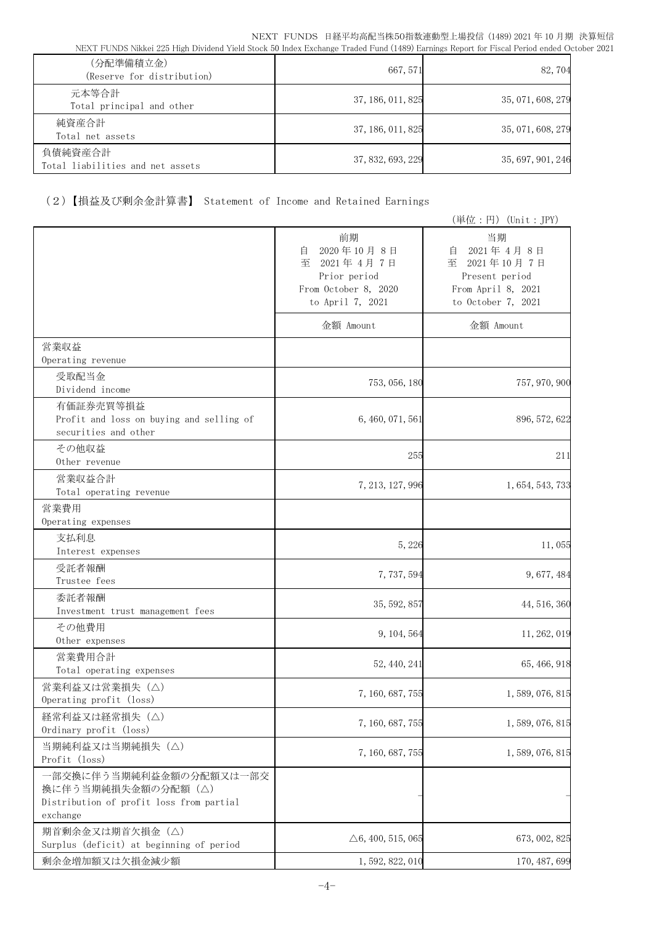| (分配準備積立金)<br>(Reserve for distribution)     | 667, 571          | 82,704            |
|---------------------------------------------|-------------------|-------------------|
| 元本等合計<br>Total principal and other          | 37, 186, 011, 825 | 35, 071, 608, 279 |
| 純資産合計<br>Total net assets                   | 37, 186, 011, 825 | 35, 071, 608, 279 |
| 負債純資産合計<br>Total liabilities and net assets | 37, 832, 693, 229 | 35, 697, 901, 246 |

# (2)【損益及び剰余金計算書】 Statement of Income and Retained Earnings

|                                                                                                       |                                                                                                     | (単位:円) (Unit:JPY)                                                                                     |
|-------------------------------------------------------------------------------------------------------|-----------------------------------------------------------------------------------------------------|-------------------------------------------------------------------------------------------------------|
|                                                                                                       | 前期<br>2020年10月8日<br>自<br>至<br>2021年4月7日<br>Prior period<br>From October 8, 2020<br>to April 7, 2021 | 当期<br>2021年4月8日<br>自<br>2021年10月7日<br>至<br>Present period<br>From April 8, 2021<br>to October 7, 2021 |
|                                                                                                       | 金額 Amount                                                                                           | 金額 Amount                                                                                             |
| 営業収益<br>Operating revenue                                                                             |                                                                                                     |                                                                                                       |
| 受取配当金<br>Dividend income                                                                              | 753, 056, 180                                                                                       | 757, 970, 900                                                                                         |
| 有価証券売買等損益<br>Profit and loss on buying and selling of<br>securities and other                         | 6, 460, 071, 561                                                                                    | 896, 572, 622                                                                                         |
| その他収益<br>Other revenue                                                                                | 255                                                                                                 | 211                                                                                                   |
| 営業収益合計<br>Total operating revenue                                                                     | 7, 213, 127, 996                                                                                    | 1, 654, 543, 733                                                                                      |
| 営業費用<br>Operating expenses                                                                            |                                                                                                     |                                                                                                       |
| 支払利息<br>Interest expenses                                                                             | 5,226                                                                                               | 11,055                                                                                                |
| 受託者報酬<br>Trustee fees                                                                                 | 7,737,594                                                                                           | 9,677,484                                                                                             |
| 委託者報酬<br>Investment trust management fees                                                             | 35, 592, 857                                                                                        | 44, 516, 360                                                                                          |
| その他費用<br>Other expenses                                                                               | 9, 104, 564                                                                                         | 11, 262, 019                                                                                          |
| 営業費用合計<br>Total operating expenses                                                                    | 52, 440, 241                                                                                        | 65, 466, 918                                                                                          |
| 営業利益又は営業損失(△)<br>Operating profit (loss)                                                              | 7, 160, 687, 755                                                                                    | 1, 589, 076, 815                                                                                      |
| 経常利益又は経常損失 (△)<br>Ordinary profit (loss)                                                              | 7, 160, 687, 755                                                                                    | 1, 589, 076, 815                                                                                      |
| 当期純利益又は当期純損失 (△)<br>Profit (loss)                                                                     | 7, 160, 687, 755                                                                                    | 1, 589, 076, 815                                                                                      |
| 一部交換に伴う当期純利益金額の分配額又は一部交<br>換に伴う当期純損失金額の分配額(△)<br>Distribution of profit loss from partial<br>exchange |                                                                                                     |                                                                                                       |
| 期首剰余金又は期首欠損金(△)<br>Surplus (deficit) at beginning of period                                           | $\triangle 6, 400, 515, 065$                                                                        | 673, 002, 825                                                                                         |
| 剰余金増加額又は欠損金減少額                                                                                        | 1, 592, 822, 010                                                                                    | 170, 487, 699                                                                                         |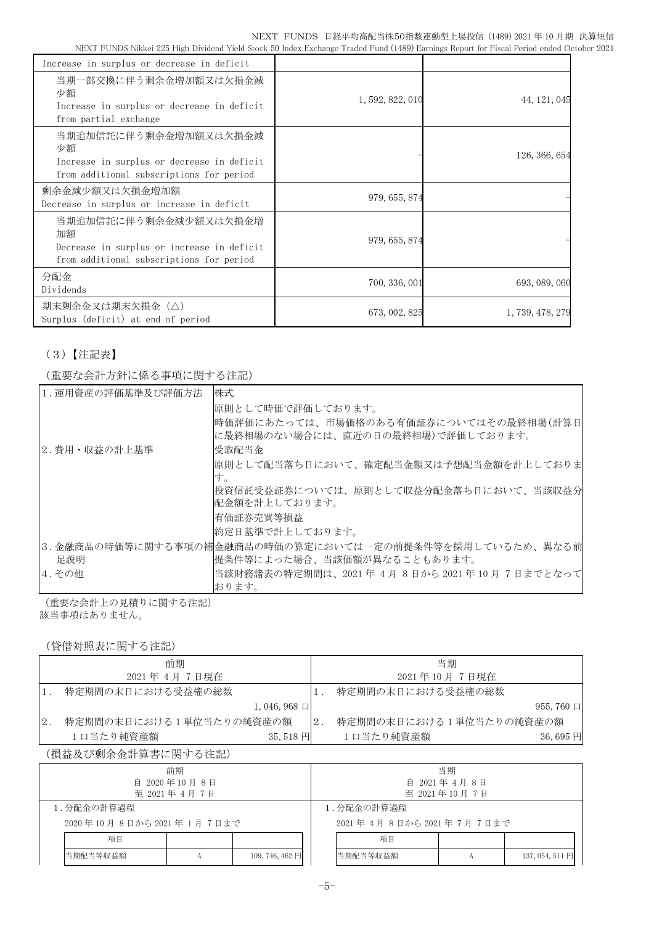| Increase in surplus or decrease in deficit                                                                            |                  |                  |
|-----------------------------------------------------------------------------------------------------------------------|------------------|------------------|
| 当期一部交換に伴う剰余金増加額又は欠損金減<br>少額<br>Increase in surplus or decrease in deficit<br>from partial exchange                    | 1, 592, 822, 010 | 44, 121, 045     |
| 当期追加信託に伴う剰余金増加額又は欠損金減<br>少額<br>Increase in surplus or decrease in deficit<br>from additional subscriptions for period |                  | 126, 366, 654    |
| 剰余金減少額又は欠損金増加額<br>Decrease in surplus or increase in deficit                                                          | 979, 655, 874    |                  |
| 当期追加信託に伴う剰余金減少額又は欠損金増<br>加額<br>Decrease in surplus or increase in deficit<br>from additional subscriptions for period | 979, 655, 874    |                  |
| 分配金<br>Dividends                                                                                                      | 700, 336, 001    | 693, 089, 060    |
| 期末剰余金又は期末欠損金(△)<br>Surplus (deficit) at end of period                                                                 | 673, 002, 825    | 1, 739, 478, 279 |

# (3)【注記表】

(重要な会計方針に係る事項に関する注記)

| 1. 運用資産の評価基準及び評価方法 | 株式                                                                           |
|--------------------|------------------------------------------------------------------------------|
|                    |                                                                              |
|                    | 原則として時価で評価しております。                                                            |
|                    | 時価評価にあたっては、市場価格のある有価証券についてはその最終相場(計算日 <br> に最終相場のない場合には、直近の日の最終相場)で評価しております。 |
| 2.費用・収益の計上基準       | 受取配当金                                                                        |
|                    | 原則として配当落ち日において、確定配当金額又は予想配当金額を計上しておりま<br>す。                                  |
|                    | 投資信託受益証券については、原則として収益分配金落ち日において、当該収益分                                        |
|                    | 配金額を計上しております。                                                                |
|                    | 有価証券売買等損益                                                                    |
|                    | 約定日基準で計上しております。                                                              |
|                    | 3.金融商品の時価等に関する事項の補金融商品の時価の算定においては一定の前提条件等を採用しているため、異なる前                      |
| 足説明                | 提条件等によった場合、当該価額が異なることもあります。                                                  |
| 4.その他              | 当該財務諸表の特定期間は、2021 年 4月 8日から 2021 年 10 月 7日までとなって                             |
|                    | おります。                                                                        |

(重要な会計上の見積りに関する注記) 該当事項はありません。

## (貸借対照表に関する注記)

|    | 前期                          |    | 当期                      |                  |
|----|-----------------------------|----|-------------------------|------------------|
|    | 2021年 4月 7日現在               |    | 2021年10月7日現在            |                  |
|    | 特定期間の末日における受益権の総数           |    | 特定期間の末日における受益権の総数       |                  |
|    | $1,046,968 \Box$            |    |                         | $955,760$ $\Box$ |
| 2. | 特定期間の末日における1単位当たりの純資産の額     | 2. | 特定期間の末日における1単位当たりの純資産の額 |                  |
|    | 1口当たり純資産額<br>35, 518 $\Box$ |    | 1口当たり純資産額               | $36,695$ 円       |

## (損益及び剰余金計算書に関する注記)

| 前期                      |  |                      | 当期 |                        |  |                 |  |
|-------------------------|--|----------------------|----|------------------------|--|-----------------|--|
| 自 2020年10月8日            |  |                      |    | 自 2021年4月8日            |  |                 |  |
| 至 2021年 4月 7日           |  |                      |    | 至 2021年10月7日           |  |                 |  |
| 1.分配金の計算過程              |  |                      |    | 1.分配金の計算過程             |  |                 |  |
| 2020年10月8日から2021年1月7日まで |  |                      |    | 2021年4月8日から2021年7月7日まで |  |                 |  |
| 項目                      |  |                      |    | 項目                     |  |                 |  |
| 当期配当等収益額                |  | 109, 746, 462 $\Box$ |    | 当期配当等収益額               |  | 137, 054, 511 円 |  |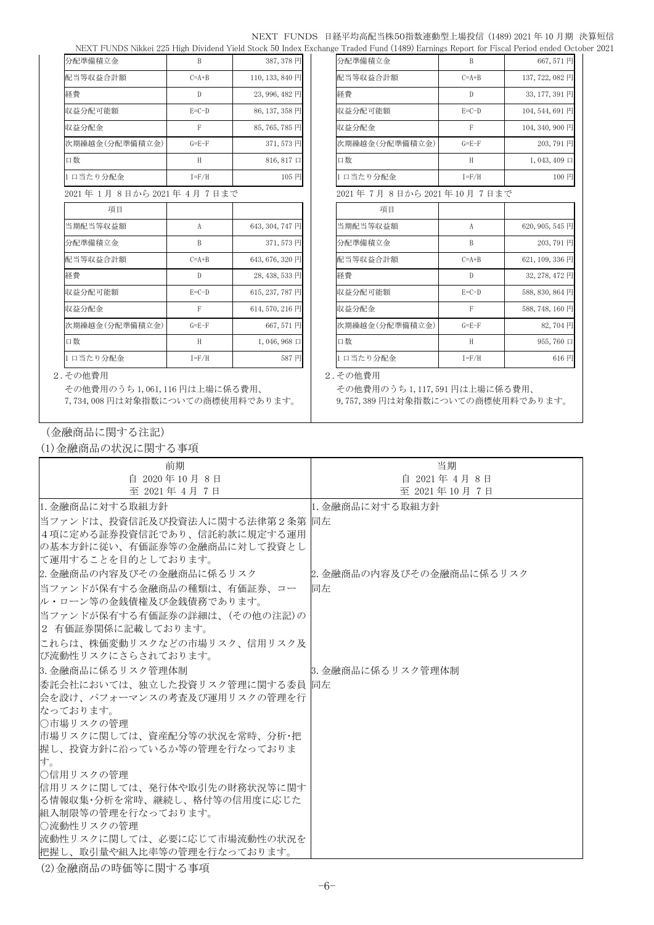#### NEXT FUNDS 日経平均高配当株50指数連動型上場投信 (1489) 2021 年 10 月期 決算短信

| 分配準備積立金                | B            | 387, 378 円          | 分配準備積立金                 | B            | 667,571円            |
|------------------------|--------------|---------------------|-------------------------|--------------|---------------------|
| 配当等収益合計額               | $C=A+B$      | 110, 133, 840 円     | 配当等収益合計額                | $C=A+B$      | 137, 722, 082 円     |
| 経費                     | D            | 23,996,482円         | 経費                      | $\mathbb{D}$ | 33, 177, 391 円      |
| 収益分配可能額                | $E=C-D$      | 86, 137, 358 円      | 収益分配可能額                 | $E=C-D$      | 104, 544, 691 円     |
| 収益分配金                  | F            | 85,765,785円         | 収益分配金                   | F            | 104, 340, 900 円     |
| 次期繰越金(分配準備積立金)         | $G = E - F$  | 371,573円            | 次期繰越金(分配準備積立金)          | $G = E - F$  | 203,791円            |
| 口数                     | H            | $816, 817 \square$  | 口数                      | H            | $1,043,409 \square$ |
| 1日当たり分配金               | $I = F/H$    | 105 円               | 1口当たり分配金                | $I = F/H$    | 100円                |
| 2021年1月8日から2021年4月7日まで |              |                     | 2021年7月8日から2021年10月7日まで |              |                     |
| 項目                     |              |                     | 項目                      |              |                     |
| 当期配当等収益額               | $\mathsf{A}$ | 643, 304, 747 円     | 当期配当等収益額                | A            | 620, 905, 545 円     |
| 分配準備積立金                | B            | 371,573円            | 分配準備積立金                 | B            | 203,791円            |
| 配当等収益合計額               | $C=A+B$      | 643, 676, 320 円     | 配当等収益合計額                | $C=A+B$      | 621, 109, 336 円     |
| 経費                     | D            | 28, 438, 533 円      | 経費                      | $\mathbb{D}$ | 32, 278, 472 円      |
| 収益分配可能額                | $E=C-D$      | 615, 237, 787 円     | 収益分配可能額                 | $E=C-D$      | 588, 830, 864 円     |
| 収益分配金                  | F            | 614, 570, 216 円     | 収益分配金                   | F            | 588, 748, 160 円     |
| 次期繰越金(分配準備積立金)         | $G = E - F$  | 667,571円            | 次期繰越金(分配準備積立金)          | $G = E - F$  | 82,704円             |
| 口数                     | H            | $1,046,968 \square$ | 口数                      | H            | 955,760 口           |
| 1日当たり分配金               | $I = F/H$    | 587円                | 1日当たり分配金                | $I = F/H$    | 616円                |

NEXT FUNDS Nikkei 225 High Dividend Yield Stock 50 Index Exchange Traded Fund (1489) Earnings Report for Fiscal Period ended October 2021

| <b>/ J HU 구 / ID 1 X 스스 포스</b> |             | 00 I I D I I J      |
|--------------------------------|-------------|---------------------|
| 配当等収益合計額                       | $C=A+B$     | 137, 722, 082 円     |
| 経費                             | D           | 33, 177, 391 円      |
| 収益分配可能額                        | $E=C-D$     | 104, 544, 691 円     |
| 収益分配金                          | F           | 104, 340, 900 円     |
| 次期繰越金(分配準備積立金)                 | $G = E - F$ | 203,791円            |
| 口数                             | H           | $1,043,409 \square$ |
| 1 口当たり分配金                      | $I = F/H$   | 100円                |
| 2021年 7月 8日から 2021 年 10 月 7日まで |             |                     |
| 項目                             |             |                     |
| 当期配当等収益額                       | A           | 620, 905, 545 円     |
| 八彩 准告转去人                       | D           | $202.701$ $\Pi$     |

| 分配準備積立金        |             | 203, 791 円      |
|----------------|-------------|-----------------|
| 配当等収益合計額       | $C=A+B$     | 621, 109, 336 円 |
| 経費             |             | 32, 278, 472 円  |
| 収益分配可能額        | $E=C-D$     | 588, 830, 864 円 |
| 収益分配金          | F           | 588, 748, 160 円 |
| 次期繰越金(分配準備積立金) | $G = E - F$ | 82,704円         |
| 口数             | H           | 955,760 口       |
| 1ロ当たり分配会       | $T = F/H$   | $616 \square$   |

#### 2.その他費用 2.その他費用

その他費用のうち 1,061,116 円は上場に係る費用、 7,734,008 円は対象指数についての商標使用料であります。

その他費用のうち 1,117,591 円は上場に係る費用、 9,757,389 円は対象指数についての商標使用料であります。

(金融商品に関する注記)

(1)金融商品の状況に関する事項

| 前期                               | 当期                       |
|----------------------------------|--------------------------|
| 自 2020年10月8日                     | 自 2021年 4月 8日            |
| 至 2021年 4月 7日                    | 至 2021年10月7日             |
| 1. 金融商品に対する取組方針                  | 1. 金融商品に対する取組方針          |
| 当ファンドは、投資信託及び投資法人に関する法律第2条第  同左  |                          |
| 4項に定める証券投資信託であり、信託約款に規定する運用      |                          |
| の基本方針に従い、有価証券等の金融商品に対して投資とし      |                          |
| に運用することを目的としております。               |                          |
| 2. 金融商品の内容及びその金融商品に係るリスク         | 2. 金融商品の内容及びその金融商品に係るリスク |
| 当ファンドが保有する金融商品の種類は、有価証券、コー       | 同左                       |
| ル・ローン等の金銭債権及び金銭債務であります。          |                          |
| 当ファンドが保有する有価証券の詳細は、(その他の注記)の     |                          |
| 2 有価証券関係に記載しております。               |                          |
| にれらは、株価変動リスクなどの市場リスク、信用リスク及      |                          |
| び流動性リスクにさらされております。               |                          |
| 3. 金融商品に係るリスク管理体制                | 3. 金融商品に係るリスク管理体制        |
| 委託会社においては、独立した投資リスク管理に関する委員   同左 |                          |
| 会を設け、パフォーマンスの考査及び運用リスクの管理を行      |                          |
| なっております。                         |                          |
| ○市場リスクの管理                        |                          |
| 市場リスクに関しては、資産配分等の状況を常時、分析・把      |                          |
| 握し、投資方針に沿っているか等の管理を行なっておりま       |                          |
| す。<br> ○信用リスクの管理                 |                          |
| 信用リスクに関しては、発行体や取引先の財務状況等に関す      |                          |
| る情報収集・分析を常時、継続し、格付等の信用度に応じた      |                          |
| 組入制限等の管理を行なっております。               |                          |
| ○流動性リスクの管理                       |                          |
| 流動性リスクに関しては、必要に応じて市場流動性の状況を      |                          |
| 把握し、取引量や組入比率等の管理を行なっております。       |                          |

(2)金融商品の時価等に関する事項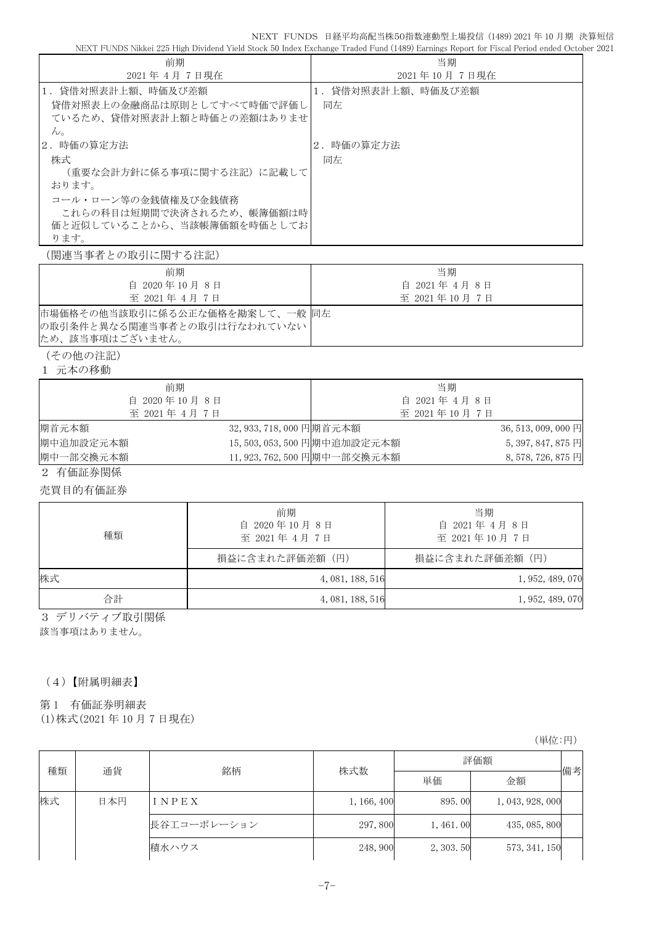|                                                          |                           |                  | NEXT FUNDS 日経平均高配当株50指数連動型上場投信 (1489)2021年10月期 決算短信<br>NEXT FUNDS Nikkei 225 High Dividend Yield Stock 50 Index Exchange Traded Fund (1489) Earnings Report for Fiscal Period ended October 2021 |
|----------------------------------------------------------|---------------------------|------------------|--------------------------------------------------------------------------------------------------------------------------------------------------------------------------------------------------|
| 前期                                                       |                           |                  | 当期                                                                                                                                                                                               |
| 2021年 4月 7日現在                                            |                           |                  | 2021年10月7日現在                                                                                                                                                                                     |
| 1. 貸借対照表計上額、時価及び差額                                       |                           |                  | 1.貸借対照表計上額、時価及び差額                                                                                                                                                                                |
| 貸借対照表上の金融商品は原則としてすべて時価で評価し<br>ているため、貸借対照表計上額と時価との差額はありませ |                           | 同左               |                                                                                                                                                                                                  |
| $\mathcal{W}_\circ$<br>2. 時価の算定方法                        |                           | 2. 時価の算定方法       |                                                                                                                                                                                                  |
| 株式                                                       |                           | 同左               |                                                                                                                                                                                                  |
| (重要な会計方針に係る事項に関する注記) に記載して<br>おります。                      |                           |                  |                                                                                                                                                                                                  |
| コール・ローン等の金銭債権及び金銭債務                                      |                           |                  |                                                                                                                                                                                                  |
| これらの科目は短期間で決済されるため、帳簿価額は時                                |                           |                  |                                                                                                                                                                                                  |
| 価と近似していることから、当該帳簿価額を時価としてお<br>ります。                       |                           |                  |                                                                                                                                                                                                  |
| (関連当事者との取引に関する注記)                                        |                           |                  |                                                                                                                                                                                                  |
| 前期                                                       |                           |                  | 当期                                                                                                                                                                                               |
| 自 2020年10月8日<br>至 2021年 4月 7日                            |                           |                  | 自 2021年 4月 8日<br>至 2021年10月7日                                                                                                                                                                    |
| 市場価格その他当該取引に係る公正な価格を勘案して、一般 同左                           |                           |                  |                                                                                                                                                                                                  |
| の取引条件と異なる関連当事者との取引は行なわれていない<br>ため、該当事項はございません。           |                           |                  |                                                                                                                                                                                                  |
| (その他の注記)                                                 |                           |                  |                                                                                                                                                                                                  |
| 1 元本の移動                                                  |                           |                  |                                                                                                                                                                                                  |
| 前期                                                       |                           |                  | 当期                                                                                                                                                                                               |
| 自 2020年10月8日<br>至 2021年 4月 7日                            |                           |                  | 自 2021年 4月 8日                                                                                                                                                                                    |
| 期首元本額                                                    | 32, 933, 718, 000 円期首元本額  |                  | 至 2021年10月7日<br>36, 513, 009, 000 円                                                                                                                                                              |
| 期中追加設定元本額                                                | 15,503,053,500 円期中追加設定元本額 |                  | 5, 397, 847, 875 円                                                                                                                                                                               |
| 期中一部交換元本額                                                | 11,923,762,500円期中一部交換元本額  |                  | 8, 578, 726, 875 円                                                                                                                                                                               |
| 2 有価証券関係                                                 |                           |                  |                                                                                                                                                                                                  |
| 売買目的有価証券                                                 |                           |                  |                                                                                                                                                                                                  |
|                                                          | 前期                        |                  | 当期                                                                                                                                                                                               |
|                                                          | 自 2020年10月8日              |                  | 自 2021年 4月 8日                                                                                                                                                                                    |
| 種類                                                       | 至 2021年 4月 7日             |                  | 至 2021年10月7日                                                                                                                                                                                     |
|                                                          | 損益に含まれた評価差額(円)            |                  | 損益に含まれた評価差額(円)                                                                                                                                                                                   |
| 株式                                                       |                           | 4, 081, 188, 516 | 1, 952, 489, 070                                                                                                                                                                                 |
| 合計                                                       |                           | 4, 081, 188, 516 | 1, 952, 489, 070                                                                                                                                                                                 |
| 3 デリバティブ取引関係                                             |                           |                  |                                                                                                                                                                                                  |
| 該当事項はありません。                                              |                           |                  |                                                                                                                                                                                                  |
|                                                          |                           |                  |                                                                                                                                                                                                  |
|                                                          |                           |                  |                                                                                                                                                                                                  |
| (4)【附属明細表】                                               |                           |                  |                                                                                                                                                                                                  |
| 有価証券明細表<br>第1                                            |                           |                  |                                                                                                                                                                                                  |
| (1) 株式(2021年10月7日現在)                                     |                           |                  |                                                                                                                                                                                                  |

(単位:円)

| 種類<br>通貨 | 銘柄  | 株式数         | 評価額         |            |                  |    |
|----------|-----|-------------|-------------|------------|------------------|----|
|          |     |             |             | 単価         | 金額               | 備考 |
| 株式       | 日本円 | INPEX       | 1, 166, 400 | 895.00     | 1, 043, 928, 000 |    |
|          |     | 長谷工コーポレーション | 297,800     | 1, 461, 00 | 435, 085, 800    |    |
|          |     | 積水ハウス       | 248,900     | 2, 303.50  | 573, 341, 150    |    |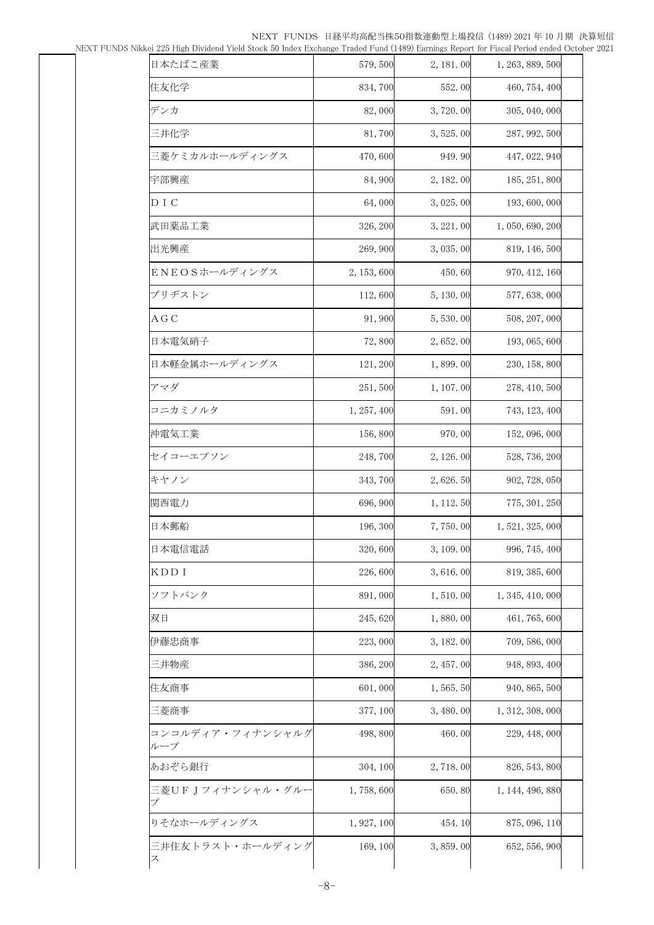NEXT FUNDS 日経平均高配当株50指数連動型上場投信 (1489) 2021 年 10 月期 決算短信

NEXT FUNDS Nikkei 225 High Dividend Yield Stock 50 Index Exchange Traded Fund (1489) Earnings Report for Fiscal Period ended October 2021

| kkei 225 High Dividend Yield Stock 50 Index Exchange Traded Fund (1489) Earnings Report for Fiscal Period ended Octobe |             |            |                  |  |
|------------------------------------------------------------------------------------------------------------------------|-------------|------------|------------------|--|
| 日本たばこ産業                                                                                                                | 579,500     | 2, 181.00  | 1, 263, 889, 500 |  |
| 住友化学                                                                                                                   | 834,700     | 552.00     | 460, 754, 400    |  |
| デンカ                                                                                                                    | 82,000      | 3,720.00   | 305, 040, 000    |  |
| 三井化学                                                                                                                   | 81,700      | 3,525.00   | 287, 992, 500    |  |
| 三菱ケミカルホールディングス                                                                                                         | 470,600     | 949.90     | 447, 022, 940    |  |
| 宇部興産                                                                                                                   | 84,900      | 2, 182. 00 | 185, 251, 800    |  |
| D I C                                                                                                                  | 64,000      | 3,025.00   | 193, 600, 000    |  |
| 武田薬品工業                                                                                                                 | 326, 200    | 3, 221.00  | 1, 050, 690, 200 |  |
| 出光興産                                                                                                                   | 269, 900    | 3,035.00   | 819, 146, 500    |  |
| ENEOSホールディングス                                                                                                          | 2, 153, 600 | 450.60     | 970, 412, 160    |  |
| ブリヂストン                                                                                                                 | 112,600     | 5, 130.00  | 577, 638, 000    |  |
| ΑGC                                                                                                                    | 91,900      | 5,530.00   | 508, 207, 000    |  |
| 日本電気硝子                                                                                                                 | 72,800      | 2,652.00   | 193, 065, 600    |  |
| 日本軽金属ホールディングス                                                                                                          | 121, 200    | 1,899.00   | 230, 158, 800    |  |
| アマダ                                                                                                                    | 251,500     | 1, 107.00  | 278, 410, 500    |  |
| コニカミノルタ                                                                                                                | 1, 257, 400 | 591.00     | 743, 123, 400    |  |
| 沖電気工業                                                                                                                  | 156,800     | 970.00     | 152, 096, 000    |  |
| セイコーエプソン                                                                                                               | 248,700     | 2, 126, 00 | 528, 736, 200    |  |
| キヤノン                                                                                                                   | 343,700     | 2,626.50   | 902, 728, 050    |  |
| 関西電力                                                                                                                   | 696, 900    | 1, 112. 50 | 775, 301, 250    |  |
| 日本郵船                                                                                                                   | 196, 300    | 7,750.00   | 1, 521, 325, 000 |  |
| 日本電信電話                                                                                                                 | 320,600     | 3, 109.00  | 996, 745, 400    |  |
| KDD I                                                                                                                  | 226,600     | 3,616.00   | 819, 385, 600    |  |
| ソフトバンク                                                                                                                 | 891,000     | 1,510.00   | 1, 345, 410, 000 |  |
| 双日                                                                                                                     | 245,620     | 1,880.00   | 461, 765, 600    |  |
| 伊藤忠商事                                                                                                                  | 223,000     | 3, 182.00  | 709, 586, 000    |  |
| 三井物産                                                                                                                   | 386, 200    | 2, 457.00  | 948, 893, 400    |  |
| 住友商事                                                                                                                   | 601,000     | 1, 565. 50 | 940, 865, 500    |  |
| 三菱商事                                                                                                                   | 377, 100    | 3, 480.00  | 1, 312, 308, 000 |  |
| コンコルディア・フィナンシャルグ<br>ルーブ                                                                                                | 498,800     | 460.00     | 229, 448, 000    |  |
| あおぞら銀行                                                                                                                 | 304, 100    | 2,718.00   | 826, 543, 800    |  |
| 三菱UFJフィナンシャル・グルー<br>プ                                                                                                  | 1,758,600   | 650.80     | 1, 144, 496, 880 |  |
| りそなホールディングス                                                                                                            | 1, 927, 100 | 454.10     | 875, 096, 110    |  |
| 三井住友トラスト・ホールディング<br>ス                                                                                                  | 169, 100    | 3,859.00   | 652, 556, 900    |  |